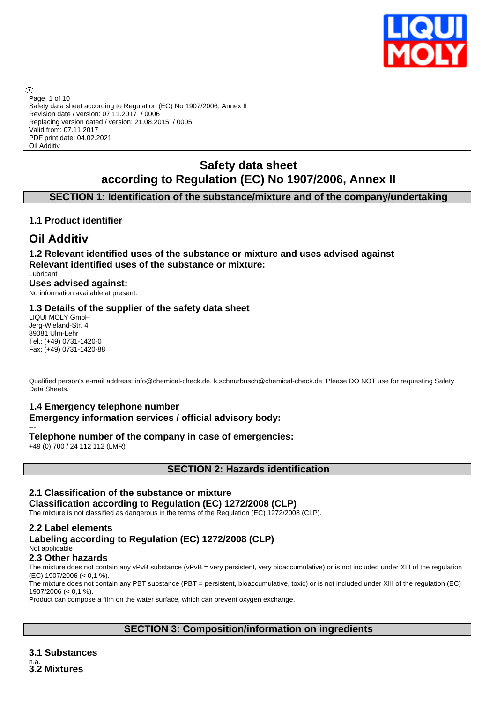

Safety data sheet according to Regulation (EC) No 1907/2006, Annex II Revision date / version: 07.11.2017 / 0006 Replacing version dated / version: 21.08.2015 / 0005 Valid from: 07.11.2017 PDF print date: 04.02.2021 Oil Additiv Page 1 of 10

# **Safety data sheet according to Regulation (EC) No 1907/2006, Annex II**

# **SECTION 1: Identification of the substance/mixture and of the company/undertaking**

# **1.1 Product identifier**

# **Oil Additiv**

അ

**1.2 Relevant identified uses of the substance or mixture and uses advised against Relevant identified uses of the substance or mixture:** Lubricant

**Uses advised against:** No information available at present.

## **1.3 Details of the supplier of the safety data sheet**

LIQUI MOLY GmbH Jerg-Wieland-Str. 4 89081 Ulm-Lehr Tel.: (+49) 0731-1420-0 Fax: (+49) 0731-1420-88

Qualified person's e-mail address: info@chemical-check.de, k.schnurbusch@chemical-check.de Please DO NOT use for requesting Safety Data Sheets.

## **1.4 Emergency telephone number**

**Emergency information services / official advisory body:**

--- **Telephone number of the company in case of emergencies:**

+49 (0) 700 / 24 112 112 (LMR)

**SECTION 2: Hazards identification**

# **2.1 Classification of the substance or mixture**

# **Classification according to Regulation (EC) 1272/2008 (CLP)**

The mixture is not classified as dangerous in the terms of the Regulation (EC) 1272/2008 (CLP).

# **2.2 Label elements**

#### **Labeling according to Regulation (EC) 1272/2008 (CLP)** Not applicable

# **2.3 Other hazards**

The mixture does not contain any vPvB substance (vPvB = very persistent, very bioaccumulative) or is not included under XIII of the regulation (EC) 1907/2006 (< 0,1 %).

The mixture does not contain any PBT substance (PBT = persistent, bioaccumulative, toxic) or is not included under XIII of the regulation (EC) 1907/2006 (< 0,1 %).

Product can compose a film on the water surface, which can prevent oxygen exchange.

## **SECTION 3: Composition/information on ingredients**

**3.1 Substances** n.a. **3.2 Mixtures**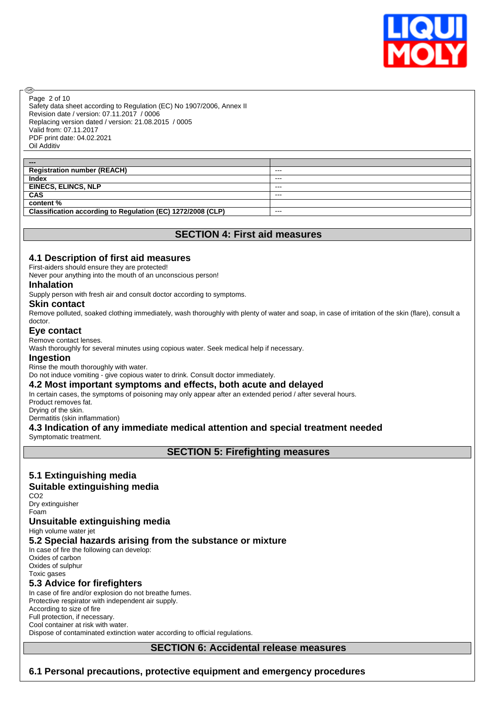

Safety data sheet according to Regulation (EC) No 1907/2006, Annex II Revision date / version: 07.11.2017 / 0006 Replacing version dated / version: 21.08.2015 / 0005 Valid from: 07.11.2017 PDF print date: 04.02.2021 Oil Additiv Page 2 of 10

| ---                                                         |         |
|-------------------------------------------------------------|---------|
| <b>Registration number (REACH)</b>                          | $- - -$ |
| <b>Index</b>                                                | $- - -$ |
| <b>EINECS, ELINCS, NLP</b>                                  | $- - -$ |
| <b>CAS</b>                                                  | ---     |
| content %                                                   |         |
| Classification according to Regulation (EC) 1272/2008 (CLP) | ---     |

## **SECTION 4: First aid measures**

#### **4.1 Description of first aid measures**

First-aiders should ensure they are protected!

Never pour anything into the mouth of an unconscious person!

#### **Inhalation**

അ

Supply person with fresh air and consult doctor according to symptoms.

#### **Skin contact**

Remove polluted, soaked clothing immediately, wash thoroughly with plenty of water and soap, in case of irritation of the skin (flare), consult a doctor.

#### **Eye contact**

Remove contact lenses.

Wash thoroughly for several minutes using copious water. Seek medical help if necessary.

#### **Ingestion**

Rinse the mouth thoroughly with water.

Do not induce vomiting - give copious water to drink. Consult doctor immediately.

#### **4.2 Most important symptoms and effects, both acute and delayed**

In certain cases, the symptoms of poisoning may only appear after an extended period / after several hours.

Product removes fat.

Drying of the skin. Dermatitis (skin inflammation)

#### **4.3 Indication of any immediate medical attention and special treatment needed** Symptomatic treatment.

**SECTION 5: Firefighting measures**

# **5.1 Extinguishing media**

#### **Suitable extinguishing media**

CO<sub>2</sub> Dry extinguisher

Foam

## **Unsuitable extinguishing media**

High volume water jet

## **5.2 Special hazards arising from the substance or mixture**

In case of fire the following can develop: Oxides of carbon Oxides of sulphur Toxic gases

# **5.3 Advice for firefighters**

In case of fire and/or explosion do not breathe fumes. Protective respirator with independent air supply. According to size of fire Full protection, if necessary. Cool container at risk with water. Dispose of contaminated extinction water according to official regulations.

# **SECTION 6: Accidental release measures**

# **6.1 Personal precautions, protective equipment and emergency procedures**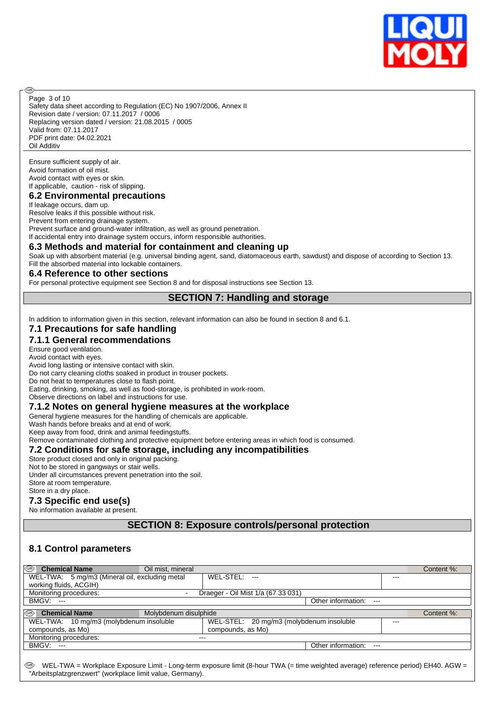

Safety data sheet according to Regulation (EC) No 1907/2006, Annex II Revision date / version: 07.11.2017 / 0006 Replacing version dated / version: 21.08.2015 / 0005 Valid from: 07.11.2017 PDF print date: 04.02.2021 Oil Additiv Page 3 of 10

Ensure sufficient supply of air. Avoid formation of oil mist. Avoid contact with eyes or skin. If applicable, caution - risk of slipping.

അ

## **6.2 Environmental precautions**

If leakage occurs, dam up. Resolve leaks if this possible without risk. Prevent from entering drainage system. Prevent surface and ground-water infiltration, as well as ground penetration. If accidental entry into drainage system occurs, inform responsible authorities.

#### **6.3 Methods and material for containment and cleaning up**

Soak up with absorbent material (e.g. universal binding agent, sand, diatomaceous earth, sawdust) and dispose of according to Section 13. Fill the absorbed material into lockable containers.

#### **6.4 Reference to other sections**

For personal protective equipment see Section 8 and for disposal instructions see Section 13.

#### **SECTION 7: Handling and storage**

In addition to information given in this section, relevant information can also be found in section 8 and 6.1.

## **7.1 Precautions for safe handling**

#### **7.1.1 General recommendations**

Ensure good ventilation. Avoid contact with eyes.

Avoid long lasting or intensive contact with skin.

Do not carry cleaning cloths soaked in product in trouser pockets.

Do not heat to temperatures close to flash point.

Eating, drinking, smoking, as well as food-storage, is prohibited in work-room.

Observe directions on label and instructions for use.

#### **7.1.2 Notes on general hygiene measures at the workplace**

General hygiene measures for the handling of chemicals are applicable.

Wash hands before breaks and at end of work.

Keep away from food, drink and animal feedingstuffs.

Remove contaminated clothing and protective equipment before entering areas in which food is consumed.

#### **7.2 Conditions for safe storage, including any incompatibilities**

Store product closed and only in original packing.

Not to be stored in gangways or stair wells.

Under all circumstances prevent penetration into the soil. Store at room temperature.

Store in a dry place.

#### **7.3 Specific end use(s)**

No information available at present.

**SECTION 8: Exposure controls/personal protection**

#### **8.1 Control parameters**

| k®<br><b>Chemical Name</b>                     | Oil mist, mineral     |                                          |                        | Content %: |
|------------------------------------------------|-----------------------|------------------------------------------|------------------------|------------|
| WEL-TWA: 5 mg/m3 (Mineral oil, excluding metal |                       | WEL-STEL: ---                            |                        |            |
| working fluids, ACGIH)                         |                       |                                          |                        |            |
| Monitoring procedures:                         |                       | Draeger - Oil Mist 1/a (67 33 031)       |                        |            |
| $BMGV:---$                                     |                       |                                          | Other information: --- |            |
|                                                |                       |                                          |                        |            |
| ⊛<br><b>Chemical Name</b>                      | Molybdenum disulphide |                                          |                        | Content %: |
| WEL-TWA: 10 mg/m3 (molybdenum insoluble        |                       | WEL-STEL: 20 mg/m3 (molybdenum insoluble | ---                    |            |
| compounds, as Mo)                              |                       | compounds, as Mo)                        |                        |            |
| Monitoring procedures:                         | ---                   |                                          |                        |            |
| BMGV: ---                                      |                       |                                          | Other information: --- |            |
|                                                |                       |                                          |                        |            |

WEL-TWA = Workplace Exposure Limit - Long-term exposure limit (8-hour TWA (= time weighted average) reference period) EH40. AGW = "Arbeitsplatzgrenzwert" (workplace limit value, Germany).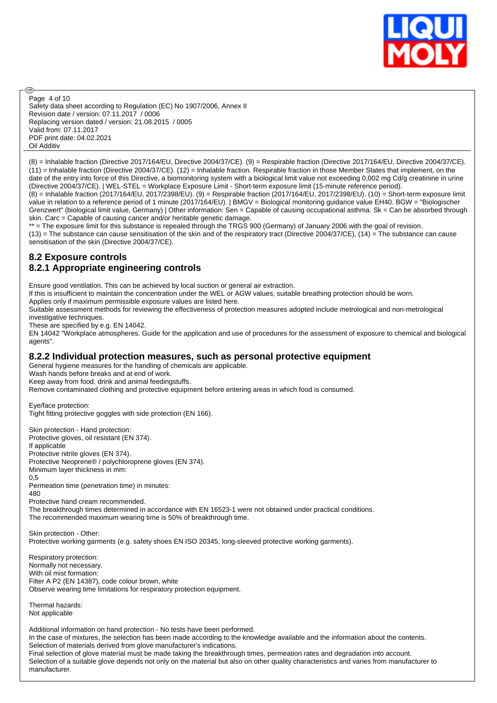

Safety data sheet according to Regulation (EC) No 1907/2006, Annex II Revision date / version: 07.11.2017 / 0006 Replacing version dated / version: 21.08.2015 / 0005 Valid from: 07.11.2017 PDF print date: 04.02.2021 Oil Additiv Page 4 of 10

(8) = Inhalable fraction (Directive 2017/164/EU, Directive 2004/37/CE). (9) = Respirable fraction (Directive 2017/164/EU, Directive 2004/37/CE). (11) = Inhalable fraction (Directive 2004/37/CE). (12) = Inhalable fraction. Respirable fraction in those Member States that implement, on the date of the entry into force of this Directive, a biomonitoring system with a biological limit value not exceeding 0,002 mg Cd/g creatinine in urine (Directive 2004/37/CE). | WEL-STEL = Workplace Exposure Limit - Short-term exposure limit (15-minute reference period).

(8) = Inhalable fraction (2017/164/EU, 2017/2398/EU). (9) = Respirable fraction (2017/164/EU, 2017/2398/EU). (10) = Short-term exposure limit value in relation to a reference period of 1 minute (2017/164/EU). | BMGV = Biological monitoring guidance value EH40. BGW = "Biologischer Grenzwert" (biological limit value, Germany) | Other information: Sen = Capable of causing occupational asthma. Sk = Can be absorbed through skin. Carc = Capable of causing cancer and/or heritable genetic damage.

\*\* = The exposure limit for this substance is repealed through the TRGS 900 (Germany) of January 2006 with the goal of revision.  $(13)$  = The substance can cause sensitisation of the skin and of the respiratory tract (Directive 2004/37/CE),  $(14)$  = The substance can cause sensitisation of the skin (Directive 2004/37/CE).

## **8.2 Exposure controls 8.2.1 Appropriate engineering controls**

Ensure good ventilation. This can be achieved by local suction or general air extraction.

If this is insufficient to maintain the concentration under the WEL or AGW values, suitable breathing protection should be worn.

Applies only if maximum permissible exposure values are listed here.

Suitable assessment methods for reviewing the effectiveness of protection measures adopted include metrological and non-metrological investigative techniques.

These are specified by e.g. EN 14042.

EN 14042 "Workplace atmospheres. Guide for the application and use of procedures for the assessment of exposure to chemical and biological agents".

## **8.2.2 Individual protection measures, such as personal protective equipment**

General hygiene measures for the handling of chemicals are applicable.

Wash hands before breaks and at end of work.

Keep away from food, drink and animal feedingstuffs.

Remove contaminated clothing and protective equipment before entering areas in which food is consumed.

Eye/face protection:

അ

Tight fitting protective goggles with side protection (EN 166).

Skin protection - Hand protection: Protective gloves, oil resistant (EN 374). If applicable Protective nitrile gloves (EN 374). Protective Neoprene® / polychloroprene gloves (EN 374). Minimum layer thickness in mm: 0,5 Permeation time (penetration time) in minutes: 480

Protective hand cream recommended.

The breakthrough times determined in accordance with EN 16523-1 were not obtained under practical conditions. The recommended maximum wearing time is 50% of breakthrough time.

Skin protection - Other: Protective working garments (e.g. safety shoes EN ISO 20345, long-sleeved protective working garments).

Respiratory protection: Normally not necessary. With oil mist formation: Filter A P2 (EN 14387), code colour brown, white Observe wearing time limitations for respiratory protection equipment.

Thermal hazards: Not applicable

Additional information on hand protection - No tests have been performed. In the case of mixtures, the selection has been made according to the knowledge available and the information about the contents. Selection of materials derived from glove manufacturer's indications. Final selection of glove material must be made taking the breakthrough times, permeation rates and degradation into account. Selection of a suitable glove depends not only on the material but also on other quality characteristics and varies from manufacturer to manufacturer.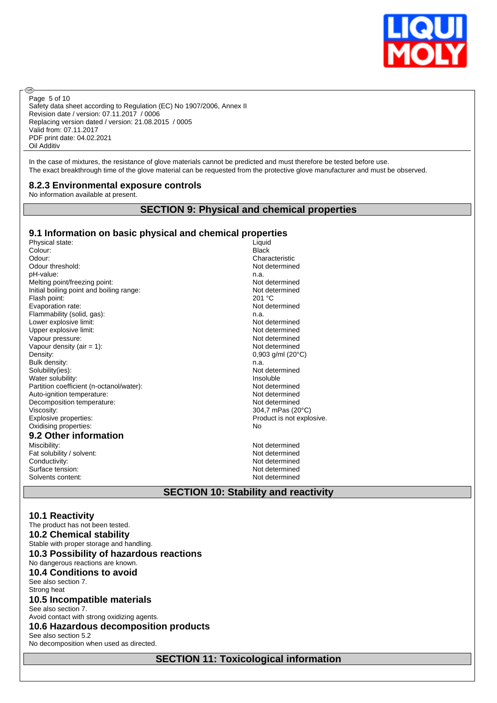

Safety data sheet according to Regulation (EC) No 1907/2006, Annex II Revision date / version: 07.11.2017 / 0006 Replacing version dated / version: 21.08.2015 / 0005 Valid from: 07.11.2017 PDF print date: 04.02.2021 Oil Additiv Page 5 of 10

In the case of mixtures, the resistance of glove materials cannot be predicted and must therefore be tested before use. The exact breakthrough time of the glove material can be requested from the protective glove manufacturer and must be observed.

#### **8.2.3 Environmental exposure controls**

No information available at present.

**®** 

## **SECTION 9: Physical and chemical properties**

# **9.1 Information on basic physical and chemical properties**

Solvents content: Not determined

Physical state:<br>
Colour: Liquid<br>
Black Black Colour: Black Odour: Characteristic Characteristic Characteristic Characteristic Characteristic Odour threshold: Not determined pH-value: n.a. Melting point/freezing point:<br>
Initial boiling point and boiling range:<br>
Not determined Initial boiling point and boiling range:<br>Flash point: 201 °C Flash point: 201 °C<br>
Evaporation rate: 201 °C<br>
201 °C<br>
201 °C Evaporation rate: Not determined the Not determined the Not determined the Not determined the Not determined the Not determined the Not determined the Not determined the Not determined the Not determined the Not determined  $F$ lammability (solid, gas): Lower explosive limit:  $\blacksquare$ Upper explosive limit:  $\blacksquare$ Vapour pressure: Not determined Vapour density (air = 1):  $\frac{1}{2}$  Not determined<br>Density: 0.903 a/ml (20° Bulk density: n.a. Solubility(ies): n.a. Solubility(ies): n.a. Not Water solubility: Partition coefficient (n-octanol/water): Not determined Auto-ignition temperature:  $\overline{\phantom{a}}$  and  $\overline{\phantom{a}}$  and  $\overline{\phantom{a}}$  are  $\overline{\phantom{a}}$  Not determined Decomposition temperature: Not determined Viscosity: 304,7 mPas (20°C) Explosive properties: Product is not explosive. Oxidising properties: No **9.2 Other information** Fat solubility / solvent:

Surface tension:

 $0.903$  g/ml (20 $^{\circ}$ C) Not determined<br>Insoluble Not determined<br>Not determined Conductivity: Not determined<br>
Surface tension: Not determined<br>
Not determined

## **SECTION 10: Stability and reactivity**

**10.1 Reactivity** The product has not been tested. **10.2 Chemical stability** Stable with proper storage and handling. **10.3 Possibility of hazardous reactions** No dangerous reactions are known. **10.4 Conditions to avoid** See also section 7. Strong heat **10.5 Incompatible materials** See also section 7. Avoid contact with strong oxidizing agents. **10.6 Hazardous decomposition products** See also section 5.2 No decomposition when used as directed.

**SECTION 11: Toxicological information**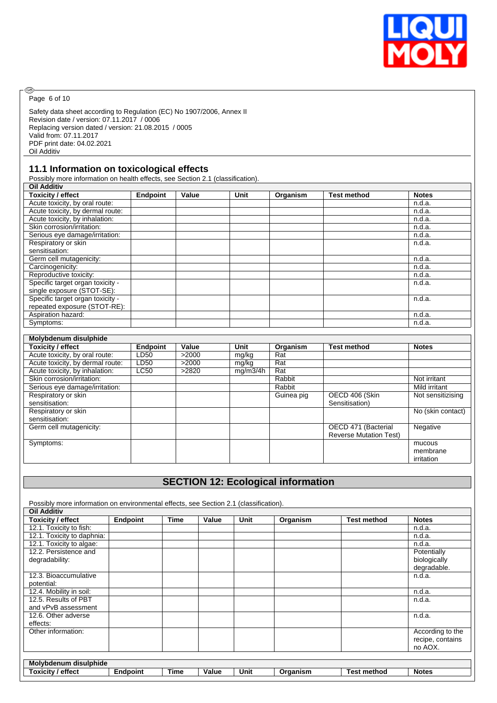

Page 6 of 10

®

Safety data sheet according to Regulation (EC) No 1907/2006, Annex II Revision date / version: 07.11.2017 / 0006 Replacing version dated / version: 21.08.2015 / 0005 Valid from: 07.11.2017 PDF print date: 04.02.2021 Oil Additiv

## **11.1 Information on toxicological effects**

Possibly more information on health effects, see Section 2.1 (classification).

| <b>Oil Additiv</b>               |                 |       |      |          |                    |              |
|----------------------------------|-----------------|-------|------|----------|--------------------|--------------|
| <b>Toxicity / effect</b>         | <b>Endpoint</b> | Value | Unit | Organism | <b>Test method</b> | <b>Notes</b> |
| Acute toxicity, by oral route:   |                 |       |      |          |                    | n.d.a.       |
| Acute toxicity, by dermal route: |                 |       |      |          |                    | n.d.a.       |
| Acute toxicity, by inhalation:   |                 |       |      |          |                    | n.d.a.       |
| Skin corrosion/irritation:       |                 |       |      |          |                    | n.d.a.       |
| Serious eye damage/irritation:   |                 |       |      |          |                    | n.d.a.       |
| Respiratory or skin              |                 |       |      |          |                    | n.d.a.       |
| sensitisation:                   |                 |       |      |          |                    |              |
| Germ cell mutagenicity:          |                 |       |      |          |                    | n.d.a.       |
| Carcinogenicity:                 |                 |       |      |          |                    | n.d.a.       |
| Reproductive toxicity:           |                 |       |      |          |                    | n.d.a.       |
| Specific target organ toxicity - |                 |       |      |          |                    | n.d.a.       |
| single exposure (STOT-SE):       |                 |       |      |          |                    |              |
| Specific target organ toxicity - |                 |       |      |          |                    | n.d.a.       |
| repeated exposure (STOT-RE):     |                 |       |      |          |                    |              |
| Aspiration hazard:               |                 |       |      |          |                    | n.d.a.       |
| Symptoms:                        |                 |       |      |          |                    | n.d.a.       |

| Molybdenum disulphide            |                  |       |          |            |                               |                   |
|----------------------------------|------------------|-------|----------|------------|-------------------------------|-------------------|
| <b>Toxicity / effect</b>         | <b>Endpoint</b>  | Value | Unit     | Organism   | <b>Test method</b>            | <b>Notes</b>      |
| Acute toxicity, by oral route:   | LD50             | >2000 | mg/kg    | Rat        |                               |                   |
| Acute toxicity, by dermal route: | LD <sub>50</sub> | >2000 | mg/kg    | Rat        |                               |                   |
| Acute toxicity, by inhalation:   | <b>LC50</b>      | >2820 | mq/m3/4h | Rat        |                               |                   |
| Skin corrosion/irritation:       |                  |       |          | Rabbit     |                               | Not irritant      |
| Serious eye damage/irritation:   |                  |       |          | Rabbit     |                               | Mild irritant     |
| Respiratory or skin              |                  |       |          | Guinea pig | OECD 406 (Skin                | Not sensitizising |
| sensitisation:                   |                  |       |          |            | Sensitisation)                |                   |
| Respiratory or skin              |                  |       |          |            |                               | No (skin contact) |
| sensitisation:                   |                  |       |          |            |                               |                   |
| Germ cell mutagenicity:          |                  |       |          |            | OECD 471 (Bacterial           | Negative          |
|                                  |                  |       |          |            | <b>Reverse Mutation Test)</b> |                   |
| Symptoms:                        |                  |       |          |            |                               | mucous            |
|                                  |                  |       |          |            |                               | membrane          |
|                                  |                  |       |          |            |                               | irritation        |

# **SECTION 12: Ecological information**

Possibly more information on environmental effects, see Section 2.1 (classification). **Oil Additiv Toxicity / effect Endpoint Time Value Unit Organism <b>Test method Notes** 12.1. Toxicity to fish:  $n.d.a$ . 12.1. Toxicity to fish: 12.1. Toxicity to daphnia: n.d.a. n.d.a. n.d.a. n.d.a. n.d.a. n.d.a. n.d.a. n.d.a. n.d.a. n.d.a. n.d.a. n.d.a. 12.1. Toxicity to algae: 12.2. Persistence and degradability: **Potentially** biologically degradable. 12.3. Bioaccumulative potential: n.d.a. 12.4. Mobility in soil: n.d.a. 12.5. Results of PBT and vPvB assessment n.d.a. 12.6. Other adverse effects:<br>Other information: n.d.a. According to the recipe, contains no AOX. **Molybdenum disulphide Toxicity / effect Endpoint Time Value Unit Organism Test method Notes**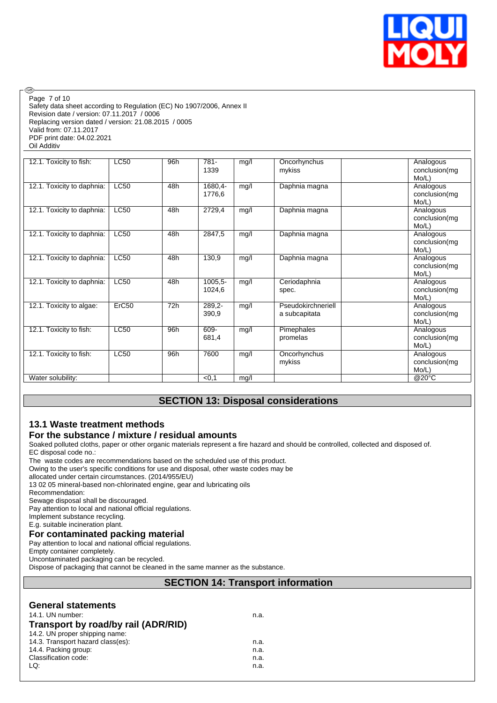

Safety data sheet according to Regulation (EC) No 1907/2006, Annex II Revision date / version: 07.11.2017 / 0006 Replacing version dated / version: 21.08.2015 / 0005 Valid from: 07.11.2017 PDF print date: 04.02.2021 Oil Additiv Page 7 of 10

| 12.1. Toxicity to fish:    | <b>LC50</b>       | 96h | $781 -$ | mg/l | Oncorhynchus       | Analogous              |
|----------------------------|-------------------|-----|---------|------|--------------------|------------------------|
|                            |                   |     | 1339    |      | mykiss             | conclusion(mg          |
|                            |                   |     |         |      |                    | Mo/L)                  |
| 12.1. Toxicity to daphnia: | LC50              | 48h | 1680,4- | mg/l | Daphnia magna      | Analogous              |
|                            |                   |     | 1776,6  |      |                    | conclusion(mg          |
|                            |                   |     |         |      |                    | Mo/L)                  |
| 12.1. Toxicity to daphnia: | <b>LC50</b>       | 48h | 2729,4  | mg/l | Daphnia magna      | Analogous              |
|                            |                   |     |         |      |                    | conclusion(mg          |
|                            |                   |     |         |      |                    | Mo/L)                  |
| 12.1. Toxicity to daphnia: | <b>LC50</b>       | 48h | 2847,5  | mg/l | Daphnia magna      | Analogous              |
|                            |                   |     |         |      |                    | conclusion(mg          |
|                            |                   |     |         |      |                    | Mo/L)                  |
| 12.1. Toxicity to daphnia: | <b>LC50</b>       | 48h | 130,9   | mg/l | Daphnia magna      | Analogous              |
|                            |                   |     |         |      |                    | conclusion(mg          |
|                            | <b>LC50</b>       | 48h | 1005,5- |      |                    | Mo/L)                  |
| 12.1. Toxicity to daphnia: |                   |     |         | mg/l | Ceriodaphnia       | Analogous              |
|                            |                   |     | 1024,6  |      | spec.              | conclusion(mg<br>Mo/L) |
| 12.1. Toxicity to algae:   | ErC <sub>50</sub> | 72h | 289,2-  | mg/l | Pseudokirchneriell | Analogous              |
|                            |                   |     | 390,9   |      | a subcapitata      | conclusion(mg          |
|                            |                   |     |         |      |                    | Mo/L)                  |
| 12.1. Toxicity to fish:    | <b>LC50</b>       | 96h | 609-    | mg/l | Pimephales         | Analogous              |
|                            |                   |     | 681,4   |      | promelas           | conclusion(mg          |
|                            |                   |     |         |      |                    | Mo/L)                  |
| 12.1. Toxicity to fish:    | <b>LC50</b>       | 96h | 7600    | mg/l | Oncorhynchus       | Analogous              |
|                            |                   |     |         |      | mykiss             | conclusion(mg          |
|                            |                   |     |         |      |                    | Mo/L)                  |
| Water solubility:          |                   |     | < 0, 1  | mg/l |                    | @20°C                  |

# **SECTION 13: Disposal considerations**

# **13.1 Waste treatment methods**

## **For the substance / mixture / residual amounts**

Soaked polluted cloths, paper or other organic materials represent a fire hazard and should be controlled, collected and disposed of. EC disposal code no.:

The waste codes are recommendations based on the scheduled use of this product.

Owing to the user's specific conditions for use and disposal, other waste codes may be

allocated under certain circumstances. (2014/955/EU)

13 02 05 mineral-based non-chlorinated engine, gear and lubricating oils

Recommendation:

**®** 

Sewage disposal shall be discouraged.

Pay attention to local and national official regulations.

Implement substance recycling. E.g. suitable incineration plant.

# **For contaminated packing material**

Pay attention to local and national official regulations.

Empty container completely.

Uncontaminated packaging can be recycled.

Dispose of packaging that cannot be cleaned in the same manner as the substance.

## **SECTION 14: Transport information**

| <b>General statements</b><br>14.1. UN number:<br>Transport by road/by rail (ADR/RID) | n.a. |
|--------------------------------------------------------------------------------------|------|
| 14.2. UN proper shipping name:                                                       |      |
| 14.3. Transport hazard class(es):                                                    | n.a. |
| 14.4. Packing group:                                                                 | n.a. |
| Classification code:                                                                 | n.a. |
| LQ:                                                                                  | n.a. |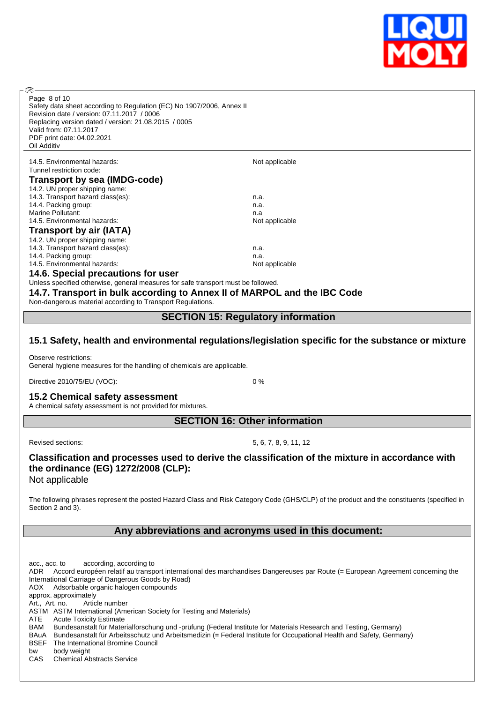

Page 8 of 10

൹

Safety data sheet according to Regulation (EC) No 1907/2006, Annex II Revision date / version: 07.11.2017 / 0006 Replacing version dated / version: 21.08.2015 / 0005 Valid from: 07.11.2017 PDF print date: 04.02.2021 Oil Additiv

#### 14.5. Environmental hazards: Not applicable Tunnel restriction code:<br>
Troponort by 000 **Transport by sea (IMDG-code)**

| $\overline{11}$ alispult by sea (lividu-cuud) |                |
|-----------------------------------------------|----------------|
| 14.2. UN proper shipping name:                |                |
| 14.3. Transport hazard class(es):             | n.a.           |
| 14.4. Packing group:                          | n.a.           |
| Marine Pollutant:                             | n.a            |
| 14.5. Environmental hazards:                  | Not applicable |
| Transport by air (IATA)                       |                |
| 14.2. UN proper shipping name:                |                |
| 14.3. Transport hazard class(es):             | n.a.           |
| 14.4. Packing group:                          | n.a.           |
| 14.5. Environmental hazards:                  | Not applicable |

#### **14.6. Special precautions for user**

Unless specified otherwise, general measures for safe transport must be followed.

**14.7. Transport in bulk according to Annex II of MARPOL and the IBC Code**

Non-dangerous material according to Transport Regulations.

## **SECTION 15: Regulatory information**

## **15.1 Safety, health and environmental regulations/legislation specific for the substance or mixture**

Observe restrictions:

General hygiene measures for the handling of chemicals are applicable.

Directive 2010/75/EU (VOC): 0 %

# **15.2 Chemical safety assessment**

A chemical safety assessment is not provided for mixtures.

**SECTION 16: Other information**

Revised sections: 5, 6, 7, 8, 9, 11, 12

## **Classification and processes used to derive the classification of the mixture in accordance with the ordinance (EG) 1272/2008 (CLP):** Not applicable

The following phrases represent the posted Hazard Class and Risk Category Code (GHS/CLP) of the product and the constituents (specified in Section 2 and 3).

## **Any abbreviations and acronyms used in this document:**

acc., acc. to according, according to ADR Accord européen relatif au transport international des marchandises Dangereuses par Route (= European Agreement concerning the International Carriage of Dangerous Goods by Road) AOX Adsorbable organic halogen compounds approx. approximately Art., Art. no. Article number ASTM ASTM International (American Society for Testing and Materials) ATE Acute Toxicity Estimate<br>BAM Bundesanstalt für Mater Bundesanstalt für Materialforschung und -prüfung (Federal Institute for Materials Research and Testing, Germany) BAuA Bundesanstalt für Arbeitsschutz und Arbeitsmedizin (= Federal Institute for Occupational Health and Safety, Germany) BSEF The International Bromine Council bw body weight CAS Chemical Abstracts Service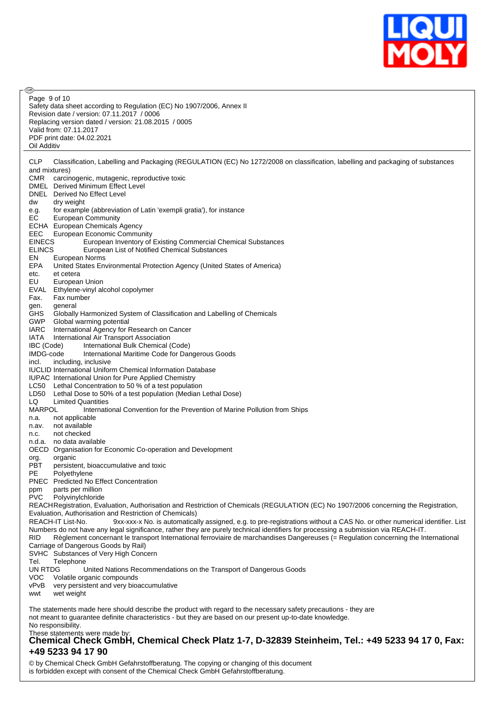

൹ Page 9 of 10Safety data sheet according to Regulation (EC) No 1907/2006, Annex II Revision date / version: 07.11.2017 / 0006 Replacing version dated / version: 21.08.2015 / 0005 Valid from: 07.11.2017 PDF print date: 04.02.2021 Oil Additiv CLP Classification, Labelling and Packaging (REGULATION (EC) No 1272/2008 on classification, labelling and packaging of substances and mixtures) CMR carcinogenic, mutagenic, reproductive toxic DMEL Derived Minimum Effect Level DNEL Derived No Effect Level dw dry weight e.g. for example (abbreviation of Latin 'exempli gratia'), for instance EC European Community ECHA European Chemicals Agency EEC European Economic Community<br>EINECS European Inventory of European Inventory of Existing Commercial Chemical Substances ELINCS European List of Notified Chemical Substances EN European Norms EPA United States Environmental Protection Agency (United States of America) etc. et cetera<br>EU Europea EU European Union EVAL Ethylene-vinyl alcohol copolymer Fax. Fax number gen. general GHS Globally Harmonized System of Classification and Labelling of Chemicals<br>GWP Global warming potential Global warming potential IARC International Agency for Research on Cancer IATA International Air Transport Association IBC (Code) International Bulk Chemical (Code) IMDG-code International Maritime Code for Dangerous Goods incl. including, inclusive IUCLID International Uniform Chemical Information Database IUPAC International Union for Pure Applied Chemistry LC50 Lethal Concentration to 50 % of a test population LD50 Lethal Dose to 50% of a test population (Median Lethal Dose) LQ Limited Quantities MARPOL International Convention for the Prevention of Marine Pollution from Ships n.a. not applicable n.av. not available n.c. not checked n.d.a. no data available OECD Organisation for Economic Co-operation and Development org. organic PBT persistent, bioaccumulative and toxic PE Polyethylene PNEC Predicted No Effect Concentration ppm parts per million PVC Polyvinylchloride REACHRegistration, Evaluation, Authorisation and Restriction of Chemicals (REGULATION (EC) No 1907/2006 concerning the Registration, Evaluation, Authorisation and Restriction of Chemicals) REACH-IT List-No. 9xx-xxx-x No. is automatically assigned, e.g. to pre-registrations without a CAS No. or other numerical identifier. List Numbers do not have any legal significance, rather they are purely technical identifiers for processing a submission via REACH-IT. RID Règlement concernant le transport International ferroviaire de marchandises Dangereuses (= Regulation concerning the International Carriage of Dangerous Goods by Rail) SVHC Substances of Very High Concern Tel. Telephone UN RTDG United Nations Recommendations on the Transport of Dangerous Goods VOC Volatile organic compounds vPvB very persistent and very bioaccumulative wwt wet weight The statements made here should describe the product with regard to the necessary safety precautions - they are not meant to guarantee definite characteristics - but they are based on our present up-to-date knowledge. No responsibility.

# These statements were made by: **Chemical Check GmbH, Chemical Check Platz 1-7, D-32839 Steinheim, Tel.: +49 5233 94 17 0, Fax: +49 5233 94 17 90**

© by Chemical Check GmbH Gefahrstoffberatung. The copying or changing of this document is forbidden except with consent of the Chemical Check GmbH Gefahrstoffberatung.